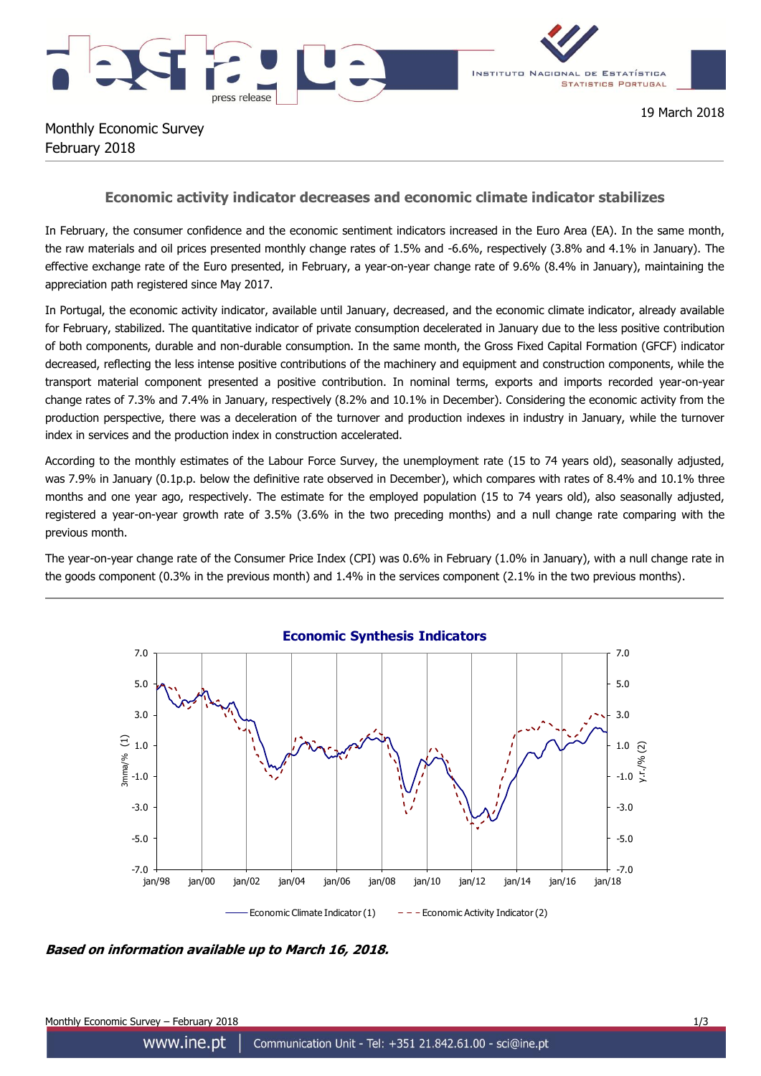



Monthly Economic Survey February 2018

19 March 2018

## **Economic activity indicator decreases and economic climate indicator stabilizes**

In February, the consumer confidence and the economic sentiment indicators increased in the Euro Area (EA). In the same month, the raw materials and oil prices presented monthly change rates of 1.5% and -6.6%, respectively (3.8% and 4.1% in January). The effective exchange rate of the Euro presented, in February, a year-on-year change rate of 9.6% (8.4% in January), maintaining the appreciation path registered since May 2017.

In Portugal, the economic activity indicator, available until January, decreased, and the economic climate indicator, already available for February, stabilized. The quantitative indicator of private consumption decelerated in January due to the less positive contribution of both components, durable and non-durable consumption. In the same month, the Gross Fixed Capital Formation (GFCF) indicator decreased, reflecting the less intense positive contributions of the machinery and equipment and construction components, while the transport material component presented a positive contribution. In nominal terms, exports and imports recorded year-on-year change rates of 7.3% and 7.4% in January, respectively (8.2% and 10.1% in December). Considering the economic activity from the production perspective, there was a deceleration of the turnover and production indexes in industry in January, while the turnover index in services and the production index in construction accelerated.

According to the monthly estimates of the Labour Force Survey, the unemployment rate (15 to 74 years old), seasonally adjusted, was 7.9% in January (0.1p.p. below the definitive rate observed in December), which compares with rates of 8.4% and 10.1% three months and one year ago, respectively. The estimate for the employed population (15 to 74 years old), also seasonally adjusted, registered a year-on-year growth rate of 3.5% (3.6% in the two preceding months) and a null change rate comparing with the previous month.

The year-on-year change rate of the Consumer Price Index (CPI) was 0.6% in February (1.0% in January), with a null change rate in the goods component (0.3% in the previous month) and 1.4% in the services component (2.1% in the two previous months).



**Based on information available up to March 16, 2018.**

Monthly Economic Survey – February 2018 1/3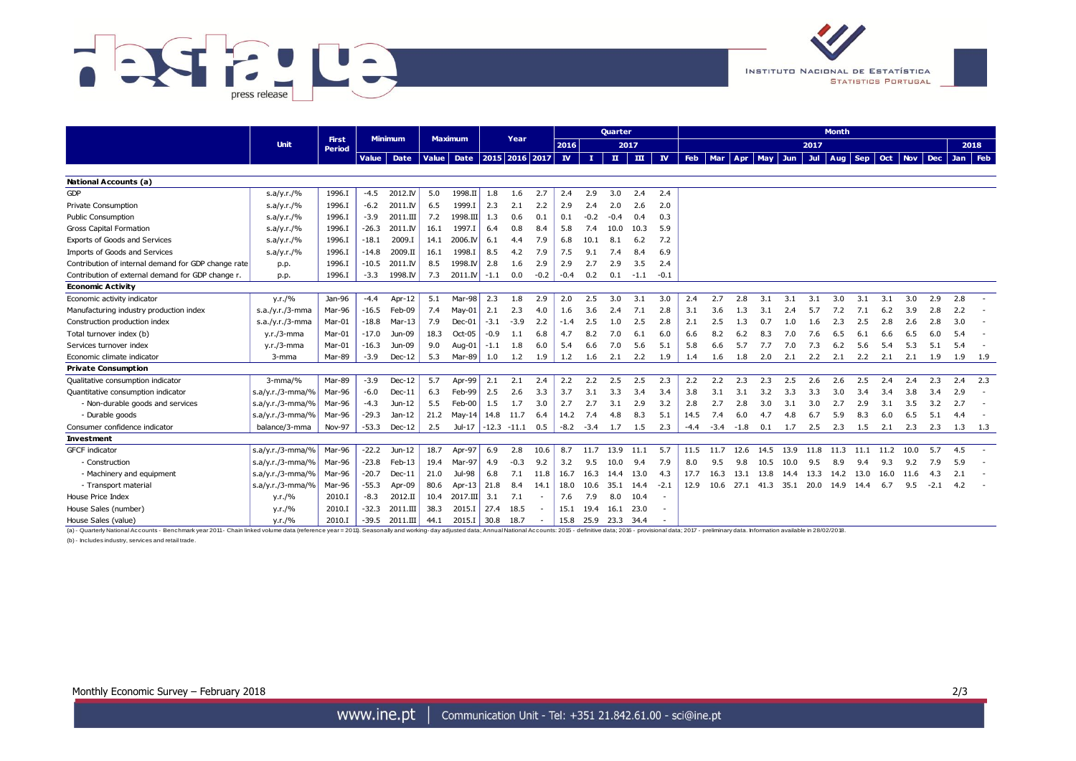



|                                                                                                                                                                                                                                | <b>Unit</b>           | <b>First</b>  | Minimum      |          | Maximum |                           | Year    |         |        |              |        | <b>Ouarter</b> |              | <b>Month</b> |            |        |        |                 |      |       |      |            |      |      |        |                             |       |
|--------------------------------------------------------------------------------------------------------------------------------------------------------------------------------------------------------------------------------|-----------------------|---------------|--------------|----------|---------|---------------------------|---------|---------|--------|--------------|--------|----------------|--------------|--------------|------------|--------|--------|-----------------|------|-------|------|------------|------|------|--------|-----------------------------|-------|
|                                                                                                                                                                                                                                |                       | Period        |              |          |         |                           |         |         |        | 2016         |        | 2017           |              |              |            |        |        |                 |      | 2017  |      |            |      |      |        |                             | 2018  |
|                                                                                                                                                                                                                                |                       |               | <b>Value</b> | Date     | Value   | Date   2015   2016   2017 |         |         |        | $\mathbf{N}$ | -11 -  | $\mathbf{u}$   | $\mathbf{m}$ | $\mathbf{N}$ | <b>Feb</b> |        |        | Mar Apr May Jun |      | Jul 1 | Aug  | <b>Sep</b> |      |      |        | Oct   Nov   Dec   Jan   Feb |       |
|                                                                                                                                                                                                                                |                       |               |              |          |         |                           |         |         |        |              |        |                |              |              |            |        |        |                 |      |       |      |            |      |      |        |                             |       |
| <b>National Accounts (a)</b>                                                                                                                                                                                                   |                       |               |              |          |         |                           |         |         |        |              |        |                |              |              |            |        |        |                 |      |       |      |            |      |      |        |                             |       |
| GDP                                                                                                                                                                                                                            | s.a/y.r./%            | 1996.I        | $-4.5$       | 2012.IV  | 5.0     | 1998.II                   | 1.8     | 1.6     | 2.7    | 2.4          | 2.9    | 3.0            | 2.4          | 2.4          |            |        |        |                 |      |       |      |            |      |      |        |                             |       |
| Private Consumption                                                                                                                                                                                                            | s.a/y.r./%            | 1996.I        | $-6.2$       | 2011.IV  | 6.5     | 1999.I                    | 2.3     | 2.1     | 2.2    | 2.9          | 2.4    | 2.0            | 2.6          | 2.0          |            |        |        |                 |      |       |      |            |      |      |        |                             |       |
| <b>Public Consumption</b>                                                                                                                                                                                                      | s.a/y.r./%            | 1996.I        | $-3.9$       | 2011.III | 7.2     | 1998.III                  | 1.3     | 0.6     | 0.1    | 0.1          | $-0.2$ | $-0.4$         | 0.4          | 0.3          |            |        |        |                 |      |       |      |            |      |      |        |                             |       |
| <b>Gross Capital Formation</b>                                                                                                                                                                                                 | s.a/y.r./%            | 1996.I        | $-26.3$      | 2011.IV  | 16.1    | 1997.I                    | 6.4     | 0.8     | 8.4    | 5.8          | 7.4    | 10.0           | 10.3         | 5.9          |            |        |        |                 |      |       |      |            |      |      |        |                             |       |
| Exports of Goods and Services                                                                                                                                                                                                  | s.a/y.r./%            | 1996.I        | $-18.1$      | 2009.I   | 14.1    | 2006.IV                   | 6.1     | 4.4     | 7.9    | 6.8          | 10.1   | 8.1            | 6.2          | 7.2          |            |        |        |                 |      |       |      |            |      |      |        |                             |       |
| Imports of Goods and Services                                                                                                                                                                                                  | s.a/y.r./%            | 1996.I        | $-14.8$      | 2009.II  | 16.1    | 1998.I                    | 8.5     | 4.2     | 7.9    | 7.5          | 9.1    | 7.4            | 8.4          | 6.9          |            |        |        |                 |      |       |      |            |      |      |        |                             |       |
| Contribution of internal demand for GDP change rate                                                                                                                                                                            | p.p.                  | 1996.I        | $-10.5$      | 2011.IV  | 8.5     | 1998.IV                   | 2.8     | 1.6     | 2.9    | 2.9          | 2.7    | 2.9            | 3.5          | 2.4          |            |        |        |                 |      |       |      |            |      |      |        |                             |       |
| Contribution of external demand for GDP change r.                                                                                                                                                                              | p.p.                  | 1996.I        | $-3.3$       | 1998.IV  | 7.3     | 2011. <sub>IV</sub>       | $-1.1$  | 0.0     | $-0.2$ | $-0.4$       | 0.2    | 0.1            | $-1.1$       | $-0.1$       |            |        |        |                 |      |       |      |            |      |      |        |                             |       |
| <b>Economic Activity</b>                                                                                                                                                                                                       |                       |               |              |          |         |                           |         |         |        |              |        |                |              |              |            |        |        |                 |      |       |      |            |      |      |        |                             |       |
| Economic activity indicator                                                                                                                                                                                                    | y.r./%                | Jan-96        | $-4.4$       | Apr-12   | 5.1     | Mar-98                    | 2.3     | 1.8     | 2.9    | 2.0          | 2.5    | 3.0            | 3.1          | 3.0          | 2.4        | 2.7    | 2.8    | 3.1             | 3.1  | 3.1   | 3.0  | 3.1        | 3.1  | 3.0  | 2.9    | 2.8                         |       |
| Manufacturing industry production index                                                                                                                                                                                        | s.a./y.r./3-mma       | Mar-96        | $-16.5$      | Feb-09   | 7.4     | May-01                    | 2.1     | 2.3     | 4.0    | 1.6          | 3.6    | 2.4            | 7.1          | 2.8          | 3.1        | 3.6    | 1.3    | 3.1             | 2.4  | 5.7   | 7.2  | 7.1        | 6.2  | 3.9  | 2.8    | 2.2                         |       |
| Construction production index                                                                                                                                                                                                  | $s.a./y.r./3-mma$     | Mar-01        | $-18.8$      | Mar-13   | 7.9     | $Dec-01$                  | $-3.1$  | $-3.9$  | 2.2    | $-1.4$       | 2.5    | 1.0            | 2.5          | 2.8          | 2.1        | 2.5    | 1.3    | 0.7             | 1.0  | 1.6   | 2.3  | 2.5        | 2.8  | 2.6  | 2.8    | 3.0                         |       |
| Total turnover index (b)                                                                                                                                                                                                       | $y.r./3$ -mma         | Mar-01        | $-17.0$      | Jun-09   | 18.3    | Oct-05                    | $-0.9$  | 1.1     | 6.8    | 4.7          | 8.2    | 7.0            | 6.1          | 6.0          | 6.6        | 8.2    | 6.2    | 8.3             | 7.0  | 7.6   | 6.5  | 6.1        | 6.6  | 6.5  | 6.0    | 5.4                         |       |
| Services turnover index                                                                                                                                                                                                        | $y.r./3$ -mma         | Mar-01        | $-16.3$      | Jun-09   | 9.0     | Aug-01                    | $-1.1$  | 1.8     | 6.0    | 5.4          | 6.6    | 7.0            | 5.6          | 5.1          | 5.8        | 6.6    | 5.7    | 7.7             | 7.0  | 7.3   | 6.2  | 5.6        | 5.4  | 5.3  | 5.1    | 5.4                         |       |
| Economic climate indicator                                                                                                                                                                                                     | $3$ -mma              | Mar-89        | $-3.9$       | $Dec-12$ | 5.3     | Mar-89                    | 1.0     | 1.2     | 1.9    | 1.2          | 1.6    | 2.1            | 2.2          | 1.9          | 1.4        | 1.6    | 1.8    | 2.0             | 2.1  | 2.2   | 2.1  | 2.2        | 2.1  | 2.1  | 1.9    | 1.9                         | - 1.9 |
| <b>Private Consumption</b>                                                                                                                                                                                                     |                       |               |              |          |         |                           |         |         |        |              |        |                |              |              |            |        |        |                 |      |       |      |            |      |      |        |                             |       |
| Qualitative consumption indicator                                                                                                                                                                                              | $3$ -mma/%            | Mar-89        | $-3.9$       | $Dec-12$ | 5.7     | Apr-99                    | 2.1     | 2.1     | 2.4    | 2.2          | 2.2    | 2.5            | 2.5          | 2.3          | 2.2        | 2.2    | 2.3    | 2.3             | 2.5  | 2.6   | 2.6  | 2.5        | 2.4  | 2.4  | 2.3    | 2.4                         | 2.3   |
| Quantitative consumption indicator                                                                                                                                                                                             | $s.a/y.r./3-mma/%$    | Mar-96        | $-6.0$       | $Dec-11$ | 6.3     | Feb-99                    | 2.5     | 2.6     | 3.3    | 3.7          | 3.1    | 3.3            | 3.4          | 3.4          | 3.8        | 3.1    | 3.1    | 3.2             | 3.3  | 3.3   | 3.0  | 3.4        | 3.4  | 3.8  | 3.4    | 2.9                         |       |
| - Non-durable goods and services                                                                                                                                                                                               | $s.a/y.r./3-mma/%$    | Mar-96        | $-4.3$       | $Jun-12$ | 5.5     | Feb-00                    | 1.5     | 1.7     | 3.0    | 2.7          | 2.7    | 3.1            | 2.9          | 3.2          | 2.8        | 2.7    | 2.8    | 3.0             | 3.1  | 3.0   | 2.7  | 2.9        | 3.1  | 3.5  | 3.2    | 2.7                         |       |
| - Durable goods                                                                                                                                                                                                                | $s.a/y.r./3-mma/%$    | Mar-96        | $-29.3$      | Jan-12   | 21.2    | Mav-14                    | 14.8    | 11.7    | 6.4    | 14.2         | 7.4    | 4.8            | 8.3          | 5.1          | 14.5       | 7.4    | 6.0    | 4.7             | 4.8  | 6.7   | 5.9  | 8.3        | 6.0  | 6.5  | 5.1    | 4.4                         |       |
| Consumer confidence indicator                                                                                                                                                                                                  | balance/3-mma         | <b>Nov-97</b> | $-53.3$      | $Dec-12$ | 2.5     | Jul-17                    | $-12.3$ | $-11.1$ | 0.5    | $-8.2$       | $-3.4$ | 1.7            | 1.5          | 2.3          | $-4.4$     | $-3.4$ | $-1.8$ | 0.1             | 1.7  | 2.5   | 2.3  | 1.5        | 2.1  | 2.3  | 2.3    | 1.3                         | - 1.3 |
| <b>Investment</b>                                                                                                                                                                                                              |                       |               |              |          |         |                           |         |         |        |              |        |                |              |              |            |        |        |                 |      |       |      |            |      |      |        |                             |       |
| <b>GFCF</b> indicator                                                                                                                                                                                                          | $s.a/y.r./3-mma/\%$   | Mar-96        | $-22.2$      | Jun-12   | 18.7    | Apr-97                    | 6.9     | 2.8     | 10.6   | 8.7          | 11.7   | 13.9           | 11.1         | 5.7          | 11.5       | 11.7   | 12.6   | 14.5            | 13.9 | 11.8  | 11.3 | 11.1       | 11.2 | 10.0 | 5.7    | 4.5                         |       |
| - Construction                                                                                                                                                                                                                 | $ s.a/y.r./3-mma/\% $ | Mar-96        | $-23.8$      | Feb-13   | 19.4    | Mar-97                    | 4.9     | $-0.3$  | 9.2    | 3.2          | 9.5    | 10.0           | 9.4          | 7.9          | 8.0        | 9.5    | 9.8    | 10.5            | 10.0 | 9.5   | 8.9  | 9.4        | 9.3  | 9.2  | 7.9    | 5.9                         |       |
| - Machinery and equipment                                                                                                                                                                                                      | $ s.a/y.r./3-mma/\% $ | Mar-96        | $-20.7$      | $Dec-11$ | 21.0    | Jul-98                    | 6.8     | 7.1     | 11.8   | 16.7         | 16.3   | 14.4           | 13.0         | 4.3          | 17.7       | 16.3   | 13.1   | 13.8            | 14.4 | 13.3  | 14.2 | 13.0       | 16.0 | 11.6 | 4.3    | 2.1                         |       |
| - Transport material                                                                                                                                                                                                           | $ s.a/y.r./3-mma/\% $ | Mar-96        | $-55.3$      | Apr-09   | 80.6    | Apr-13                    | 21.8    | 8.4     | 14.1   | 18.0         | 10.6   | 35.1           | 14.4         | $-2.1$       | 12.9       | 10.6   | 27.1   | 41.3            | 35.1 | 20.0  | 14.9 | 14.4       | 6.7  | 9.5  | $-2.1$ | 4.2                         |       |
| House Price Index                                                                                                                                                                                                              | y.r./%                | 2010.I        | $-8.3$       | 2012.II  | 10.4    | 2017.III                  | 3.1     | 7.1     | $\sim$ | 7.6          | 7.9    | 8.0            | 10.4         | ٠            |            |        |        |                 |      |       |      |            |      |      |        |                             |       |
| House Sales (number)                                                                                                                                                                                                           | y.r./%                | 2010.I        | $-32.3$      | 2011.III | 38.3    | 2015.I                    | 27.4    | 18.5    | $\sim$ | 15.1         | 19.4   | 16.1           | 23.0         | ٠            |            |        |        |                 |      |       |      |            |      |      |        |                             |       |
| House Sales (value)                                                                                                                                                                                                            | y.r./%                | 2010.I        | $-39.5$      | 2011.III | 44.1    | 2015.I                    | 30.8    | 18.7    | $\sim$ | 15.8         | 25.9   | 23.3           | 34.4         |              |            |        |        |                 |      |       |      |            |      |      |        |                             |       |
| (a) - Quarterly National Accounts - Benchmark year 2011- Chain linked volume data (reference year = 2011). Seasonally and working-day adjusted data; Annual National Accounts: 2015 - definitive data; 2016 - provisional data |                       |               |              |          |         |                           |         |         |        |              |        |                |              |              |            |        |        |                 |      |       |      |            |      |      |        |                             |       |
| (b) - Includes industry, services and retail trade                                                                                                                                                                             |                       |               |              |          |         |                           |         |         |        |              |        |                |              |              |            |        |        |                 |      |       |      |            |      |      |        |                             |       |
|                                                                                                                                                                                                                                |                       |               |              |          |         |                           |         |         |        |              |        |                |              |              |            |        |        |                 |      |       |      |            |      |      |        |                             |       |